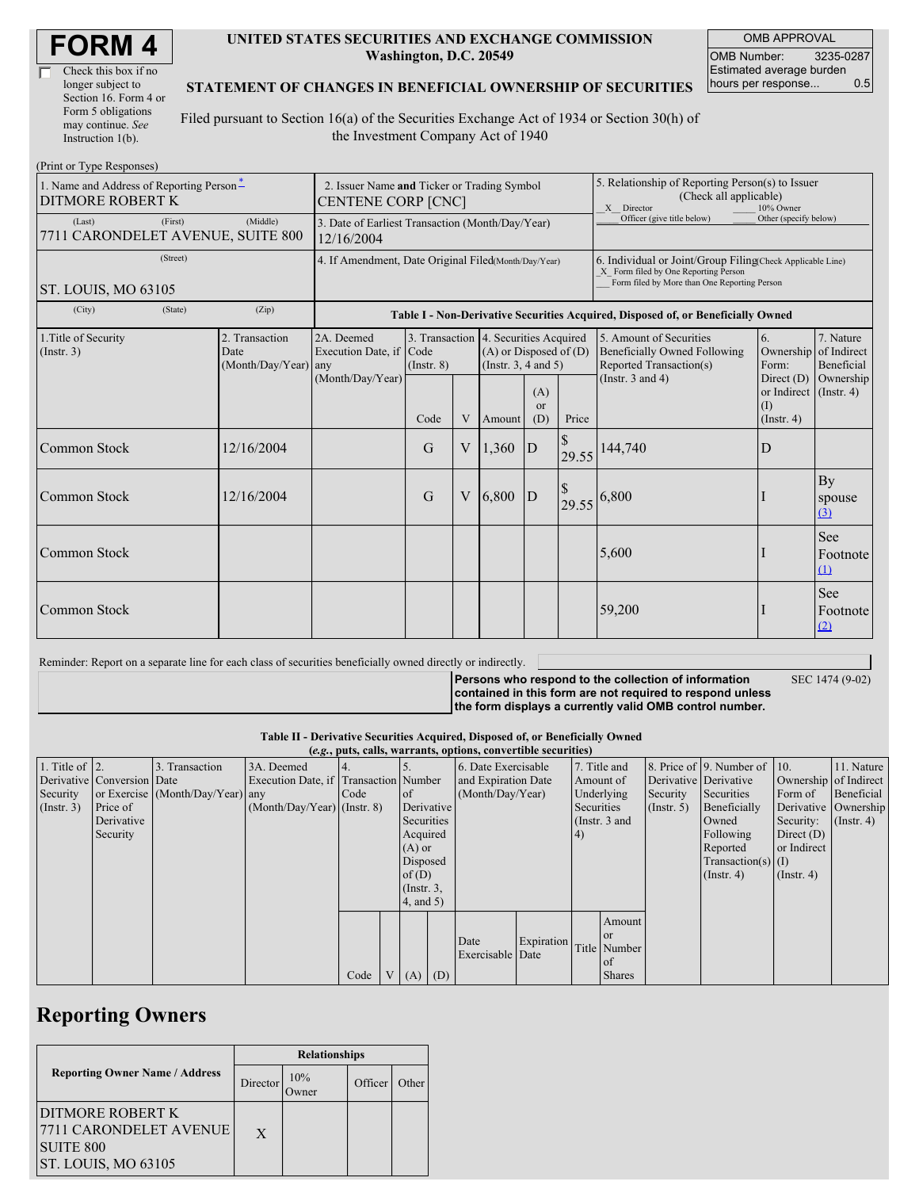| Check this box if no  |
|-----------------------|
| longer subject to     |
| Section 16. Form 4 or |
| Form 5 obligations    |
| may continue. See     |
| Instruction $1(b)$ .  |

#### **UNITED STATES SECURITIES AND EXCHANGE COMMISSION Washington, D.C. 20549**

OMB APPROVAL OMB Number: 3235-0287 Estimated average burden hours per response... 0.5

#### **STATEMENT OF CHANGES IN BENEFICIAL OWNERSHIP OF SECURITIES**

Filed pursuant to Section 16(a) of the Securities Exchange Act of 1934 or Section 30(h) of the Investment Company Act of 1940

| (Print or Type Responses)                                                             |                                                                          |                                       |                                                                                  |             |                                                                                                 |                             |                                                                                                                                                    |                                                                                           |                                                                   |                                                  |  |
|---------------------------------------------------------------------------------------|--------------------------------------------------------------------------|---------------------------------------|----------------------------------------------------------------------------------|-------------|-------------------------------------------------------------------------------------------------|-----------------------------|----------------------------------------------------------------------------------------------------------------------------------------------------|-------------------------------------------------------------------------------------------|-------------------------------------------------------------------|--------------------------------------------------|--|
| 1. Name and Address of Reporting Person-<br><b>DITMORE ROBERT K</b>                   | 2. Issuer Name and Ticker or Trading Symbol<br><b>CENTENE CORP [CNC]</b> |                                       |                                                                                  |             |                                                                                                 |                             | 5. Relationship of Reporting Person(s) to Issuer<br>(Check all applicable)<br>X Director<br>10% Owner                                              |                                                                                           |                                                                   |                                                  |  |
| (Last)<br>(First)<br>7711 CARONDELET AVENUE, SUITE 800                                | 3. Date of Earliest Transaction (Month/Day/Year)<br>12/16/2004           |                                       |                                                                                  |             |                                                                                                 |                             | Officer (give title below)                                                                                                                         | Other (specify below)                                                                     |                                                                   |                                                  |  |
| (Street)<br>ST. LOUIS, MO 63105                                                       | 4. If Amendment, Date Original Filed(Month/Day/Year)                     |                                       |                                                                                  |             |                                                                                                 |                             | 6. Individual or Joint/Group Filing(Check Applicable Line)<br>X Form filed by One Reporting Person<br>Form filed by More than One Reporting Person |                                                                                           |                                                                   |                                                  |  |
| (City)<br>(State)                                                                     | (Zip)                                                                    |                                       | Table I - Non-Derivative Securities Acquired, Disposed of, or Beneficially Owned |             |                                                                                                 |                             |                                                                                                                                                    |                                                                                           |                                                                   |                                                  |  |
| 1. Title of Security<br>2. Transaction<br>(Insert. 3)<br>Date<br>(Month/Day/Year) any |                                                                          | 2A. Deemed<br>Execution Date, if Code | $($ Instr. $8)$                                                                  |             | 3. Transaction 4. Securities Acquired<br>$(A)$ or Disposed of $(D)$<br>(Instr. $3, 4$ and $5$ ) |                             |                                                                                                                                                    | 5. Amount of Securities<br><b>Beneficially Owned Following</b><br>Reported Transaction(s) | 6.<br>Form:                                                       | 7. Nature<br>Ownership of Indirect<br>Beneficial |  |
|                                                                                       |                                                                          | (Month/Day/Year)                      | Code                                                                             | V           | Amount                                                                                          | (A)<br><sub>or</sub><br>(D) | Price                                                                                                                                              | (Instr. $3$ and $4$ )                                                                     | Direct $(D)$<br>or Indirect (Instr. 4)<br>(I)<br>$($ Instr. 4 $)$ | Ownership                                        |  |
| Common Stock                                                                          | 12/16/2004                                                               |                                       | G                                                                                | V           | 1,360                                                                                           | $\mathbf{D}$                | 29.55                                                                                                                                              | 144,740                                                                                   | D                                                                 |                                                  |  |
| <b>Common Stock</b>                                                                   | 12/16/2004                                                               |                                       | G                                                                                | $\mathbf V$ | 6,800                                                                                           | D                           | $\sqrt{3}$<br>29.55                                                                                                                                | 6,800                                                                                     |                                                                   | By<br>spouse<br>$\Omega$                         |  |
| <b>Common Stock</b>                                                                   |                                                                          |                                       |                                                                                  |             |                                                                                                 |                             |                                                                                                                                                    | 5,600                                                                                     |                                                                   | <b>See</b><br>Footnote<br>(1)                    |  |
| Common Stock                                                                          |                                                                          |                                       |                                                                                  |             |                                                                                                 |                             |                                                                                                                                                    | 59,200                                                                                    |                                                                   | <b>See</b><br>Footnote<br>(2)                    |  |

Reminder: Report on a separate line for each class of securities beneficially owned directly or indirectly.

**Persons who respond to the collection of information contained in this form are not required to respond unless the form displays a currently valid OMB control number.**

SEC 1474 (9-02)

**Table II - Derivative Securities Acquired, Disposed of, or Beneficially Owned (***e.g.***, puts, calls, warrants, options, convertible securities)**

| (e.g., puts, cans, wai ramts, options, convertible securities) |                            |                                  |                                       |      |  |                  |                     |                     |            |                 |               |                       |                              |                               |                      |
|----------------------------------------------------------------|----------------------------|----------------------------------|---------------------------------------|------|--|------------------|---------------------|---------------------|------------|-----------------|---------------|-----------------------|------------------------------|-------------------------------|----------------------|
| 1. Title of $\vert$ 2.                                         |                            | 3. Transaction                   | 3A. Deemed                            |      |  |                  |                     | 6. Date Exercisable |            |                 | 7. Title and  |                       | 8. Price of 9. Number of 10. |                               | 11. Nature           |
|                                                                | Derivative Conversion Date |                                  | Execution Date, if Transaction Number |      |  |                  | and Expiration Date |                     | Amount of  |                 |               | Derivative Derivative |                              | Ownership of Indirect         |                      |
| Security                                                       |                            | or Exercise (Month/Day/Year) any |                                       | Code |  | $\circ$ f        |                     | (Month/Day/Year)    |            |                 | Underlying    | Security              | Securities                   | Form of                       | Beneficial           |
| $($ Instr. 3 $)$                                               | Price of                   |                                  | $(Month/Day/Year)$ (Instr. 8)         |      |  |                  | Derivative          |                     |            | Securities      |               | $($ Instr. 5 $)$      | Beneficially                 |                               | Derivative Ownership |
|                                                                | Derivative                 |                                  |                                       |      |  | Securities       |                     |                     |            | (Instr. $3$ and |               |                       | Owned                        | Security: $(\text{Instr. 4})$ |                      |
|                                                                | Security                   |                                  |                                       |      |  | Acquired         |                     |                     |            | (4)             |               |                       | Following                    | Direct $(D)$                  |                      |
|                                                                |                            |                                  |                                       |      |  | $(A)$ or         |                     |                     |            |                 |               |                       | Reported                     | or Indirect                   |                      |
|                                                                |                            |                                  |                                       |      |  | Disposed         |                     |                     |            |                 |               |                       | Transaction(s) $(I)$         |                               |                      |
|                                                                |                            |                                  |                                       |      |  | of $(D)$         |                     |                     |            |                 |               |                       | $($ Instr. 4)                | $($ Instr. 4 $)$              |                      |
|                                                                |                            |                                  |                                       |      |  | $($ Instr. $3$ , |                     |                     |            |                 |               |                       |                              |                               |                      |
|                                                                |                            |                                  |                                       |      |  |                  | $4$ , and $5$ )     |                     |            |                 |               |                       |                              |                               |                      |
|                                                                |                            |                                  |                                       |      |  |                  |                     |                     |            |                 | Amount        |                       |                              |                               |                      |
|                                                                |                            |                                  |                                       |      |  |                  |                     |                     |            |                 | <b>or</b>     |                       |                              |                               |                      |
|                                                                |                            |                                  |                                       |      |  |                  |                     | Date                | Expiration |                 | Title Number  |                       |                              |                               |                      |
|                                                                |                            |                                  |                                       |      |  |                  |                     | Exercisable Date    |            |                 | <sub>of</sub> |                       |                              |                               |                      |
|                                                                |                            |                                  |                                       | Code |  | $V(A)$ (D)       |                     |                     |            |                 | <b>Shares</b> |                       |                              |                               |                      |

## **Reporting Owners**

|                                                                                                 | <b>Relationships</b> |     |         |       |  |  |  |
|-------------------------------------------------------------------------------------------------|----------------------|-----|---------|-------|--|--|--|
| <b>Reporting Owner Name / Address</b>                                                           | Director             | 10% | Officer | Other |  |  |  |
| IDITMORE ROBERT K<br> 7711 CARONDELET AVENUE <br><b>SUITE 800</b><br><b>ST. LOUIS, MO 63105</b> | X                    |     |         |       |  |  |  |